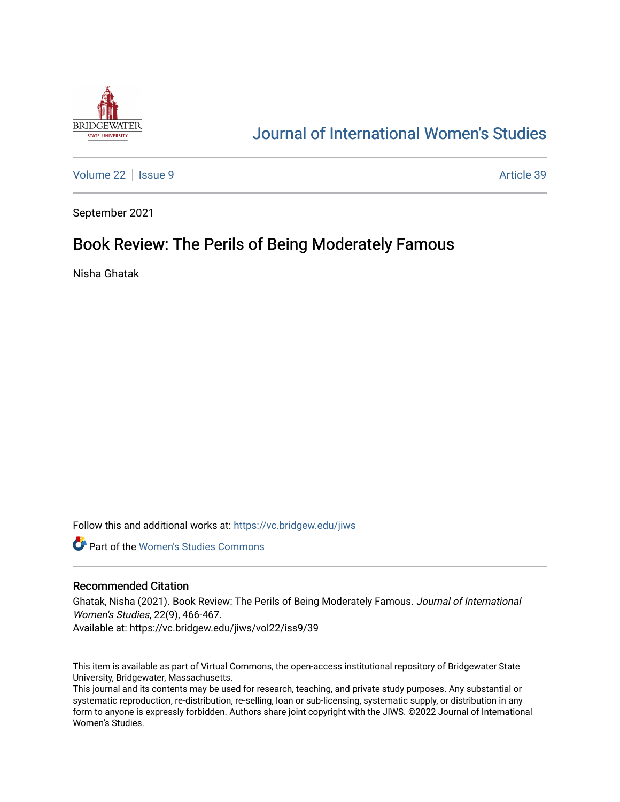

## [Journal of International Women's Studies](https://vc.bridgew.edu/jiws)

[Volume 22](https://vc.bridgew.edu/jiws/vol22) | [Issue 9](https://vc.bridgew.edu/jiws/vol22/iss9) Article 39

September 2021

# Book Review: The Perils of Being Moderately Famous

Nisha Ghatak

Follow this and additional works at: [https://vc.bridgew.edu/jiws](https://vc.bridgew.edu/jiws?utm_source=vc.bridgew.edu%2Fjiws%2Fvol22%2Fiss9%2F39&utm_medium=PDF&utm_campaign=PDFCoverPages)

**C** Part of the Women's Studies Commons

#### Recommended Citation

Ghatak, Nisha (2021). Book Review: The Perils of Being Moderately Famous. Journal of International Women's Studies, 22(9), 466-467.

Available at: https://vc.bridgew.edu/jiws/vol22/iss9/39

This item is available as part of Virtual Commons, the open-access institutional repository of Bridgewater State University, Bridgewater, Massachusetts.

This journal and its contents may be used for research, teaching, and private study purposes. Any substantial or systematic reproduction, re-distribution, re-selling, loan or sub-licensing, systematic supply, or distribution in any form to anyone is expressly forbidden. Authors share joint copyright with the JIWS. ©2022 Journal of International Women's Studies.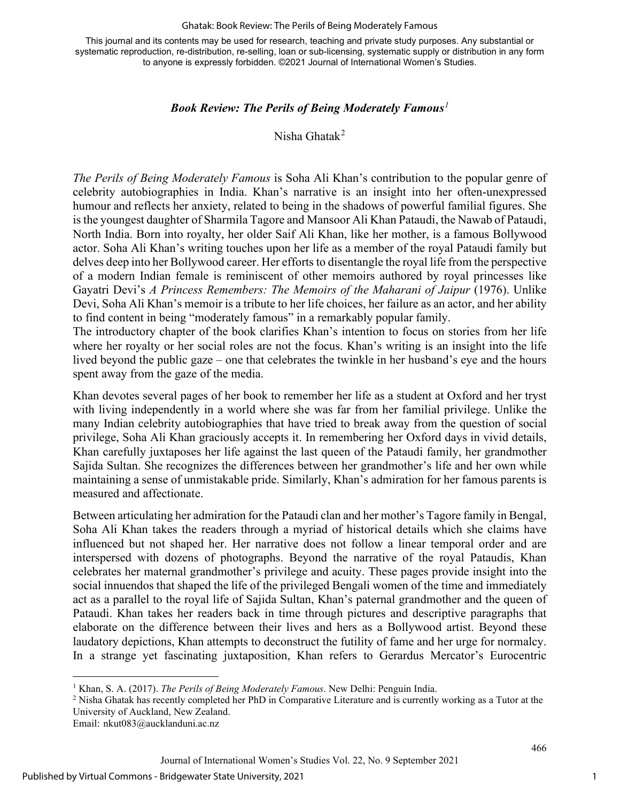#### Ghatak: Book Review: The Perils of Being Moderately Famous

This journal and its contents may be used for research, teaching and private study purposes. Any substantial or systematic reproduction, re-distribution, re-selling, loan or sub-licensing, systematic supply or distribution in any form to anyone is expressly forbidden. ©2021 Journal of International Women's Studies.

### *Book Review: The Perils of Being Moderately Famous[1](#page-1-0)*

Nisha Ghatak[2](#page-1-1)

*The Perils of Being Moderately Famous* is Soha Ali Khan's contribution to the popular genre of celebrity autobiographies in India. Khan's narrative is an insight into her often-unexpressed humour and reflects her anxiety, related to being in the shadows of powerful familial figures. She is the youngest daughter of Sharmila Tagore and Mansoor Ali Khan Pataudi, the Nawab of Pataudi, North India. Born into royalty, her older Saif Ali Khan, like her mother, is a famous Bollywood actor. Soha Ali Khan's writing touches upon her life as a member of the royal Pataudi family but delves deep into her Bollywood career. Her efforts to disentangle the royal life from the perspective of a modern Indian female is reminiscent of other memoirs authored by royal princesses like Gayatri Devi's *A Princess Remembers: The Memoirs of the Maharani of Jaipur* (1976). Unlike Devi, Soha Ali Khan's memoir is a tribute to her life choices, her failure as an actor, and her ability to find content in being "moderately famous" in a remarkably popular family.

The introductory chapter of the book clarifies Khan's intention to focus on stories from her life where her royalty or her social roles are not the focus. Khan's writing is an insight into the life lived beyond the public gaze – one that celebrates the twinkle in her husband's eye and the hours spent away from the gaze of the media.

Khan devotes several pages of her book to remember her life as a student at Oxford and her tryst with living independently in a world where she was far from her familial privilege. Unlike the many Indian celebrity autobiographies that have tried to break away from the question of social privilege, Soha Ali Khan graciously accepts it. In remembering her Oxford days in vivid details, Khan carefully juxtaposes her life against the last queen of the Pataudi family, her grandmother Sajida Sultan. She recognizes the differences between her grandmother's life and her own while maintaining a sense of unmistakable pride. Similarly, Khan's admiration for her famous parents is measured and affectionate.

Between articulating her admiration for the Pataudi clan and her mother's Tagore family in Bengal, Soha Ali Khan takes the readers through a myriad of historical details which she claims have influenced but not shaped her. Her narrative does not follow a linear temporal order and are interspersed with dozens of photographs. Beyond the narrative of the royal Pataudis, Khan celebrates her maternal grandmother's privilege and acuity. These pages provide insight into the social innuendos that shaped the life of the privileged Bengali women of the time and immediately act as a parallel to the royal life of Sajida Sultan, Khan's paternal grandmother and the queen of Pataudi. Khan takes her readers back in time through pictures and descriptive paragraphs that elaborate on the difference between their lives and hers as a Bollywood artist. Beyond these laudatory depictions, Khan attempts to deconstruct the futility of fame and her urge for normalcy. In a strange yet fascinating juxtaposition, Khan refers to Gerardus Mercator's Eurocentric

<span id="page-1-1"></span><span id="page-1-0"></span><sup>1</sup> Khan, S. A. (2017). *The Perils of Being Moderately Famous*. New Delhi: Penguin India.<br><sup>2</sup> Nisha Ghatak has recently completed her PhD in Comparative Literature and is currently working as a Tutor at the University of Auckland, New Zealand.

Email: nkut083@aucklanduni.ac.nz

466